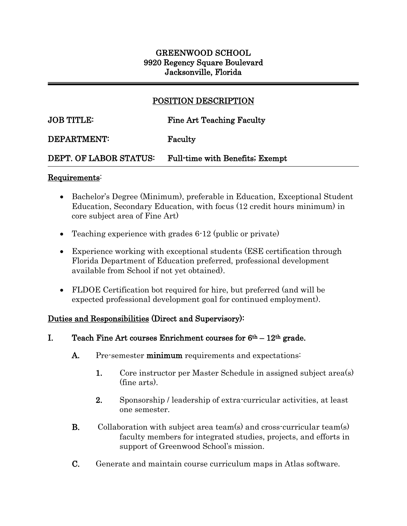## GREENWOOD SCHOOL 9920 Regency Square Boulevard Jacksonville, Florida

## POSITION DESCRIPTION

 $\overline{a}$ 

## JOB TITLE: Fine Art Teaching Faculty

### DEPARTMENT: Faculty

### DEPT. OF LABOR STATUS: Full-time with Benefits; Exempt

#### Requirements:

j

- Bachelor's Degree (Minimum), preferable in Education, Exceptional Student Education, Secondary Education, with focus (12 credit hours minimum) in core subject area of Fine Art)
- Teaching experience with grades 6-12 (public or private)
- Experience working with exceptional students (ESE certification through Florida Department of Education preferred, professional development available from School if not yet obtained).
- FLDOE Certification bot required for hire, but preferred (and will be expected professional development goal for continued employment).

### Duties and Responsibilities (Direct and Supervisory):

- I. Teach Fine Art courses Enrichment courses for  $6<sup>th</sup> 12<sup>th</sup>$  grade.
	- A. Pre-semester minimum requirements and expectations:
		- 1. Core instructor per Master Schedule in assigned subject area(s) (fine arts).
		- 2. Sponsorship / leadership of extra-curricular activities, at least one semester.
	- **B.** Collaboration with subject area team(s) and cross-curricular team(s) faculty members for integrated studies, projects, and efforts in support of Greenwood School's mission.
	- C. Generate and maintain course curriculum maps in Atlas software.